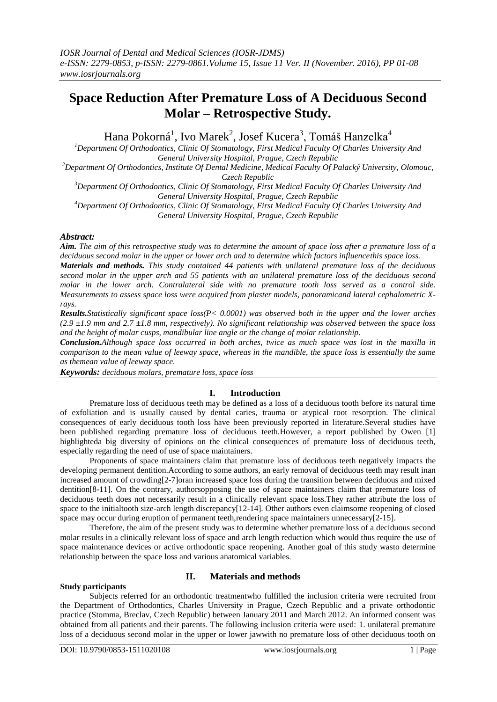# **Space Reduction After Premature Loss of A Deciduous Second Molar – Retrospective Study.**

Hana Pokorná<sup>1</sup>, Ivo Marek<sup>2</sup>, Josef Kucera<sup>3</sup>, Tomáš Hanzelka<sup>4</sup>

*<sup>1</sup>Department Of Orthodontics, Clinic Of Stomatology, First Medical Faculty Of Charles University And General University Hospital, Prague, Czech Republic <sup>2</sup>Department Of Orthodontics, Institute Of Dental Medicine, Medical Faculty Of Palacký University, Olomouc, Czech Republic*

*<sup>3</sup>Department Of Orthodontics, Clinic Of Stomatology, First Medical Faculty Of Charles University And General University Hospital, Prague, Czech Republic <sup>4</sup>Department Of Orthodontics, Clinic Of Stomatology, First Medical Faculty Of Charles University And General University Hospital, Prague, Czech Republic*

# *Abstract:*

*Aim. The aim of this retrospective study was to determine the amount of space loss after a premature loss of a deciduous second molar in the upper or lower arch and to determine which factors influencethis space loss.*

*Materials and methods. This study contained 44 patients with unilateral premature loss of the deciduous second molar in the upper arch and 55 patients with an unilateral premature loss of the deciduous second molar in the lower arch. Contralateral side with no premature tooth loss served as a control side. Measurements to assess space loss were acquired from plaster models, panoramicand lateral cephalometric Xrays.*

*Results.Statistically significant space loss(P< 0.0001) was observed both in the upper and the lower arches (2.9 ±1.9 mm and 2.7 ±1.8 mm, respectively). No significant relationship was observed between the space loss and the height of molar cusps, mandibular line angle or the change of molar relationship.* 

*Conclusion.Although space loss occurred in both arches, twice as much space was lost in the maxilla in comparison to the mean value of leeway space, whereas in the mandible, the space loss is essentially the same as themean value of leeway space.*

*Keywords: deciduous molars, premature loss, space loss*

# **I. Introduction**

Premature loss of deciduous teeth may be defined as a loss of a deciduous tooth before its natural time of exfoliation and is usually caused by dental caries, trauma or atypical root resorption. The clinical consequences of early deciduous tooth loss have been previously reported in literature.Several studies have been published regarding premature loss of deciduous teeth.However, a report published by Owen [1] highlighteda big diversity of opinions on the clinical consequences of premature loss of deciduous teeth, especially regarding the need of use of space maintainers.

Proponents of space maintainers claim that premature loss of deciduous teeth negatively impacts the developing permanent dentition.According to some authors, an early removal of deciduous teeth may result inan increased amount of crowding[2-7]oran increased space loss during the transition between deciduous and mixed dentition[8-11]. On the contrary, authorsopposing the use of space maintainers claim that premature loss of deciduous teeth does not necessarily result in a clinically relevant space loss.They rather attribute the loss of space to the initialtooth size-arch length discrepancy[12-14]. Other authors even claimsome reopening of closed space may occur during eruption of permanent teeth,rendering space maintainers unnecessary[2-15].

Therefore, the aim of the present study was to determine whether premature loss of a deciduous second molar results in a clinically relevant loss of space and arch length reduction which would thus require the use of space maintenance devices or active orthodontic space reopening. Another goal of this study wasto determine relationship between the space loss and various anatomical variables.

# **Study participants**

# **II. Materials and methods**

Subjects referred for an orthodontic treatmentwho fulfilled the inclusion criteria were recruited from the Department of Orthodontics, Charles University in Prague, Czech Republic and a private orthodontic practice (Stomma, Breclav, Czech Republic) between January 2011 and March 2012. An informed consent was obtained from all patients and their parents. The following inclusion criteria were used: 1. unilateral premature loss of a deciduous second molar in the upper or lower jawwith no premature loss of other deciduous tooth on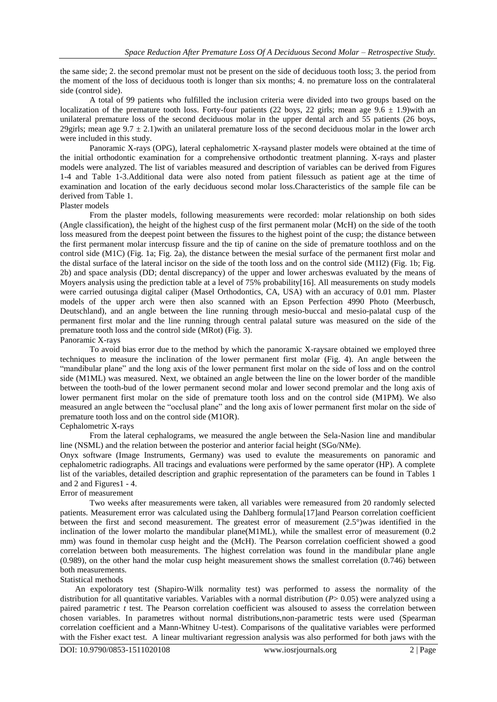the same side; 2. the second premolar must not be present on the side of deciduous tooth loss; 3. the period from the moment of the loss of deciduous tooth is longer than six months; 4. no premature loss on the contralateral side (control side).

A total of 99 patients who fulfilled the inclusion criteria were divided into two groups based on the localization of the premature tooth loss. Forty-four patients (22 boys, 22 girls; mean age  $9.6 \pm 1.9$ ) with an unilateral premature loss of the second deciduous molar in the upper dental arch and 55 patients (26 boys, 29girls; mean age  $9.7 \pm 2.1$ ) with an unilateral premature loss of the second deciduous molar in the lower arch were included in this study.

Panoramic X-rays (OPG), lateral cephalometric X-raysand plaster models were obtained at the time of the initial orthodontic examination for a comprehensive orthodontic treatment planning. X-rays and plaster models were analyzed. The list of variables measured and description of variables can be derived from Figures 1-4 and Table 1-3.Additional data were also noted from patient filessuch as patient age at the time of examination and location of the early deciduous second molar loss.Characteristics of the sample file can be derived from Table 1.

#### Plaster models

From the plaster models, following measurements were recorded: molar relationship on both sides (Angle classification), the height of the highest cusp of the first permanent molar (McH) on the side of the tooth loss measured from the deepest point between the fissures to the highest point of the cusp; the distance between the first permanent molar intercusp fissure and the tip of canine on the side of premature toothloss and on the control side (M1C) (Fig. 1a; Fig. 2a), the distance between the mesial surface of the permanent first molar and the distal surface of the lateral incisor on the side of the tooth loss and on the control side (M1I2) (Fig. 1b; Fig. 2b) and space analysis (DD; dental discrepancy) of the upper and lower archeswas evaluated by the means of Moyers analysis using the prediction table at a level of 75% probability[16]. All measurements on study models were carried outusinga digital caliper (Masel Orthodontics, CA, USA) with an accuracy of 0.01 mm. Plaster models of the upper arch were then also scanned with an Epson Perfection 4990 Photo (Meerbusch, Deutschland), and an angle between the line running through mesio-buccal and mesio-palatal cusp of the permanent first molar and the line running through central palatal suture was measured on the side of the premature tooth loss and the control side (MRot) (Fig. 3).

#### Panoramic X-rays

To avoid bias error due to the method by which the panoramic X-raysare obtained we employed three techniques to measure the inclination of the lower permanent first molar (Fig. 4). An angle between the "mandibular plane" and the long axis of the lower permanent first molar on the side of loss and on the control side (M1ML) was measured. Next, we obtained an angle between the line on the lower border of the mandible between the tooth-bud of the lower permanent second molar and lower second premolar and the long axis of lower permanent first molar on the side of premature tooth loss and on the control side (M1PM). We also measured an angle between the "occlusal plane" and the long axis of lower permanent first molar on the side of premature tooth loss and on the control side (M1OR).

#### Cephalometric X-rays

From the lateral cephalograms, we measured the angle between the Sela-Nasion line and mandibular line (NSML) and the relation between the posterior and anterior facial height (SGo/NMe).

Onyx software (Image Instruments, Germany) was used to evalute the measurements on panoramic and cephalometric radiographs. All tracings and evaluations were performed by the same operator (HP). A complete list of the variables, detailed description and graphic representation of the parameters can be found in Tables 1 and 2 and Figures1 - 4.

#### Error of measurement

Two weeks after measurements were taken, all variables were remeasured from 20 randomly selected patients. Measurement error was calculated using the Dahlberg formula[17]and Pearson correlation coefficient between the first and second measurement. The greatest error of measurement (2.5°)was identified in the inclination of the lower molarto the mandibular plane(M1ML), while the smallest error of measurement (0.2 mm) was found in themolar cusp height and the (McH). The Pearson correlation coefficient showed a good correlation between both measurements. The highest correlation was found in the mandibular plane angle (0.989), on the other hand the molar cusp height measurement shows the smallest correlation (0.746) between both measurements.

#### Statistical methods

An expoloratory test (Shapiro-Wilk normality test) was performed to assess the normality of the distribution for all quantitative variables. Variables with a normal distribution (*P*> 0.05) were analyzed using a paired parametric *t* test. The Pearson correlation coefficient was alsoused to assess the correlation between chosen variables. In parametres without normal distributions,non-parametric tests were used (Spearman correlation coefficient and a Mann-Whitney U-test). Comparisons of the qualitative variables were performed with the Fisher exact test. A linear multivariant regression analysis was also performed for both jaws with the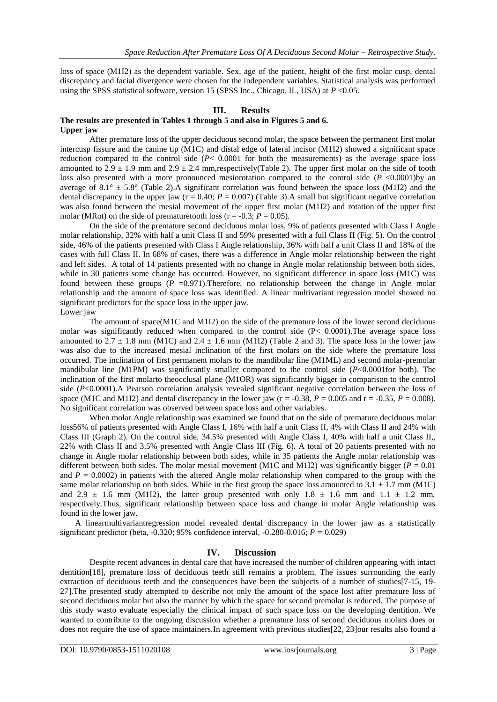loss of space (M1I2) as the dependent variable. Sex, age of the patient, height of the first molar cusp, dental discrepancy and facial divergence were chosen for the independent variables. Statistical analysis was performed using the SPSS statistical software, version 15 (SPSS Inc., Chicago, IL, USA) at *P* <0.05.

# **III. Results**

#### **The results are presented in Tables 1 through 5 and also in Figures 5 and 6. Upper jaw**

After premature loss of the upper deciduous second molar, the space between the permanent first molar intercusp fissure and the canine tip (M1C) and distal edge of lateral incisor (M1I2) showed a significant space reduction compared to the control side (*P*< 0.0001 for both the measurements) as the average space loss amounted to  $2.9 \pm 1.9$  mm and  $2.9 \pm 2.4$  mm,respectively(Table 2). The upper first molar on the side of tooth loss also presented with a more pronounced mesiorotation compared to the control side (*P* <0.0001)by an average of  $8.1^\circ \pm 5.8^\circ$  (Table 2). A significant correlation was found between the space loss (M1I2) and the dental discrepancy in the upper jaw ( $r = 0.40$ ;  $P = 0.007$ ) (Table 3). A small but significant negative correlation was also found between the mesial movement of the upper first molar (M1I2) and rotation of the upper first molar (MRot) on the side of prematuretooth loss ( $r = -0.3$ ;  $P = 0.05$ ).

On the side of the premature second deciduous molar loss, 9% of patients presented with Class I Angle molar relationship, 32% with half a unit Class II and 59% presented with a full Class II (Fig. 5). On the control side, 46% of the patients presented with Class I Angle relationship, 36% with half a unit Class II and 18% of the cases with full Class II. In 68% of cases, there was a difference in Angle molar relationship between the right and left sides. A total of 14 patients presented with no change in Angle molar relationship between both sides, while in 30 patients some change has occurred. However, no significant difference in space loss (M1C) was found between these groups  $(P = 0.971)$ . Therefore, no relationship between the change in Angle molar relationship and the amount of space loss was identified. A linear multivariant regression model showed no significant predictors for the space loss in the upper jaw.

Lower jaw

The amount of space(M1C and M1I2) on the side of the premature loss of the lower second deciduous molar was significantly reduced when compared to the control side (P< 0.0001).The average space loss amounted to  $2.7 \pm 1.8$  mm (M1C) and  $2.4 \pm 1.6$  mm (M1I2) (Table 2 and 3). The space loss in the lower jaw was also due to the increased mesial inclination of the first molars on the side where the premature loss occurred. The inclination of first permanent molars to the mandibular line (M1ML) and second molar-premolar mandibular line (M1PM) was significantly smaller compared to the control side (*P*<0.0001for both). The inclination of the first molarto theocclusal plane (M1OR) was significantly bigger in comparison to the control side (*P*<0.0001).A Pearson correlation analysis revealed significant negative correlation between the loss of space (M1C and M1I2) and dental discrepancy in the lower jaw ( $r = -0.38$ ,  $P = 0.005$  and  $r = -0.35$ ,  $P = 0.008$ ). No significant correlation was observed between space loss and other variables.

When molar Angle relationship was examined we found that on the side of premature deciduous molar loss56% of patients presented with Angle Class I, 16% with half a unit Class II, 4% with Class II and 24% with Class III (Graph 2). On the control side, 34.5% presented with Angle Class I, 40% with half a unit Class II,, 22% with Class II and 3.5% presented with Angle Class III (Fig. 6). A total of 20 patients presented with no change in Angle molar relationship between both sides, while in 35 patients the Angle molar relationship was different between both sides. The molar mesial movement (M1C and M1I2) was significantly bigger ( $P = 0.01$ ) and  $P = 0.0002$  in patients with the altered Angle molar relationship when compared to the group with the same molar relationship on both sides. While in the first group the space loss amounted to  $3.1 \pm 1.7$  mm (M1C) and 2.9  $\pm$  1.6 mm (M1I2), the latter group presented with only 1.8  $\pm$  1.6 mm and 1.1  $\pm$  1.2 mm, respectively.Thus, significant relationship between space loss and change in molar Angle relationship was found in the lower jaw.

A linearmultivariantregression model revealed dental discrepancy in the lower jaw as a statistically significant predictor (beta,  $-0.320$ ; 95% confidence interval,  $-0.280 - 0.016$ ;  $P = 0.029$ )

#### **IV. Discussion**

Despite recent advances in dental care that have increased the number of children appearing with intact dentition[18], premature loss of deciduous teeth still remains a problem. The issues surrounding the early extraction of deciduous teeth and the consequences have been the subjects of a number of studies[7-15, 19- 27].The presented study attempted to describe not only the amount of the space lost after premature loss of second deciduous molar but also the manner by which the space for second premolar is reduced. The purpose of this study wasto evaluate especially the clinical impact of such space loss on the developing dentition. We wanted to contribute to the ongoing discussion whether a premature loss of second deciduous molars does or does not require the use of space maintainers.In agreement with previous studies[22, 23]our results also found a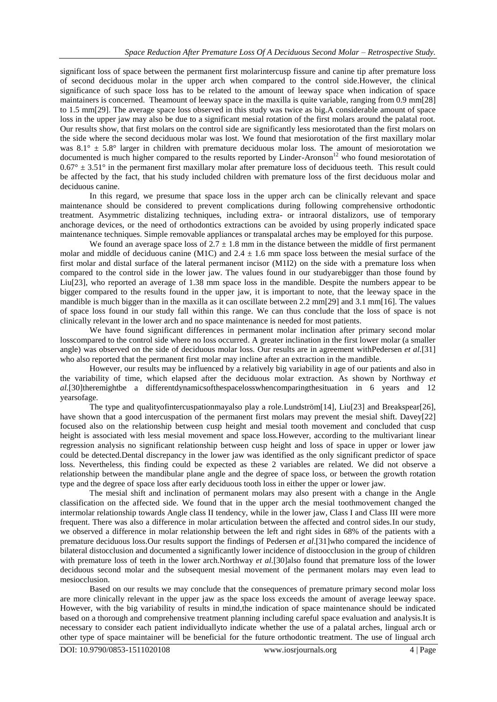significant loss of space between the permanent first molarintercusp fissure and canine tip after premature loss of second deciduous molar in the upper arch when compared to the control side.However, the clinical significance of such space loss has to be related to the amount of leeway space when indication of space maintainers is concerned. Theamount of leeway space in the maxilla is quite variable, ranging from 0.9 mm[28] to 1.5 mm[29]. The average space loss observed in this study was twice as big.A considerable amount of space loss in the upper jaw may also be due to a significant mesial rotation of the first molars around the palatal root. Our results show, that first molars on the control side are significantly less mesiorotated than the first molars on the side where the second deciduous molar was lost. We found that mesiorotation of the first maxillary molar was  $8.1^\circ \pm 5.8^\circ$  larger in children with premature deciduous molar loss. The amount of mesiorotation we documented is much higher compared to the results reported by Linder-Aronson<sup>12</sup> who found mesiorotation of  $0.67^{\circ} \pm 3.51^{\circ}$  in the permanent first maxillary molar after premature loss of deciduous teeth. This result could be affected by the fact, that his study included children with premature loss of the first deciduous molar and deciduous canine.

In this regard, we presume that space loss in the upper arch can be clinically relevant and space maintenance should be considered to prevent complications during following comprehensive orthodontic treatment. Asymmetric distalizing techniques, including extra- or intraoral distalizors, use of temporary anchorage devices, or the need of orthodontics extractions can be avoided by using properly indicated space maintenance techniques. Simple removable appliances or transpalatal arches may be employed for this purpose.

We found an average space loss of  $2.7 \pm 1.8$  mm in the distance between the middle of first permanent molar and middle of deciduous canine (M1C) and  $2.4 \pm 1.6$  mm space loss between the mesial surface of the first molar and distal surface of the lateral permanent incisor (M1I2) on the side with a premature loss when compared to the control side in the lower jaw. The values found in our studyarebigger than those found by Liu[23], who reported an average of 1.38 mm space loss in the mandible. Despite the numbers appear to be bigger compared to the results found in the upper jaw, it is important to note, that the leeway space in the mandible is much bigger than in the maxilla as it can oscillate between 2.2 mm[29] and 3.1 mm[16]. The values of space loss found in our study fall within this range. We can thus conclude that the loss of space is not clinically relevant in the lower arch and no space maintenance is needed for most patients.

We have found significant differences in permanent molar inclination after primary second molar losscompared to the control side where no loss occurred. A greater inclination in the first lower molar (a smaller angle) was observed on the side of deciduous molar loss. Our results are in agreement withPedersen *et al.*[31] who also reported that the permanent first molar may incline after an extraction in the mandible.

However, our results may be influenced by a relatively big variability in age of our patients and also in the variability of time, which elapsed after the deciduous molar extraction. As shown by Northway *et al.*[30]theremightbe a differentdynamicsofthespacelosswhencomparingthesituation in 6 years and 12 yearsofage.

The type and qualityofintercuspationmayalso play a role.Lundström[14], Liu[23] and Breakspear[26], have shown that a good intercuspation of the permanent first molars may prevent the mesial shift. Davey[22] focused also on the relationship between cusp height and mesial tooth movement and concluded that cusp height is associated with less mesial movement and space loss.However, according to the multivariant linear regression analysis no significant relationship between cusp height and loss of space in upper or lower jaw could be detected.Dental discrepancy in the lower jaw was identified as the only significant predictor of space loss. Nevertheless, this finding could be expected as these 2 variables are related. We did not observe a relationship between the mandibular plane angle and the degree of space loss, or between the growth rotation type and the degree of space loss after early deciduous tooth loss in either the upper or lower jaw.

The mesial shift and inclination of permanent molars may also present with a change in the Angle classification on the affected side. We found that in the upper arch the mesial toothmovement changed the intermolar relationship towards Angle class II tendency, while in the lower jaw, Class I and Class III were more frequent. There was also a difference in molar articulation between the affected and control sides.In our study, we observed a difference in molar relationship between the left and right sides in 68% of the patients with a premature deciduous loss.Our results support the findings of Pedersen *et al*.[31]who compared the incidence of bilateral distocclusion and documented a significantly lower incidence of distoocclusion in the group of children with premature loss of teeth in the lower arch.Northway *et al.*[30]also found that premature loss of the lower deciduous second molar and the subsequent mesial movement of the permanent molars may even lead to mesiocclusion.

Based on our results we may conclude that the consequences of premature primary second molar loss are more clinically relevant in the upper jaw as the space loss exceeds the amount of average leeway space. However, with the big variability of results in mind,the indication of space maintenance should be indicated based on a thorough and comprehensive treatment planning including careful space evaluation and analysis.It is necessary to consider each patient individuallyto indicate whether the use of a palatal arches, lingual arch or other type of space maintainer will be beneficial for the future orthodontic treatment. The use of lingual arch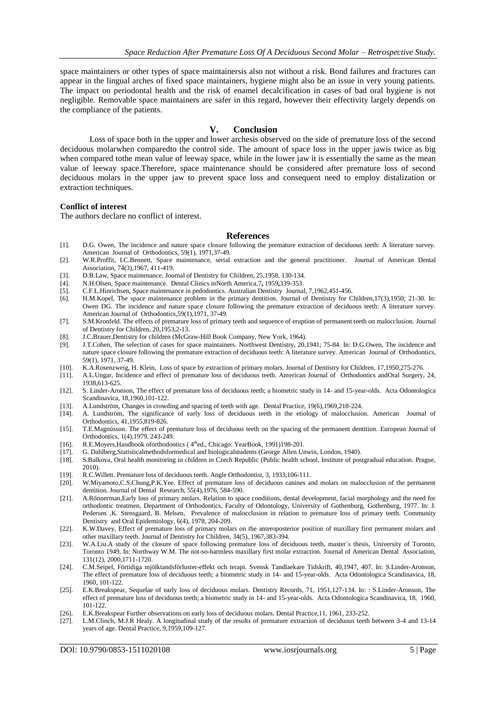space maintainers or other types of space maintainersis also not without a risk. Bond failures and fractures can appear in the lingual arches of fixed space maintainers, hygiene might also be an issue in very young patients. The impact on periodontal health and the risk of enamel decalcification in cases of bad oral hygiene is not negligible. Removable space maintainers are safer in this regard, however their effectivity largely depends on the compliance of the patients.

# **V. Conclusion**

Loss of space both in the upper and lower archesis observed on the side of premature loss of the second deciduous molarwhen comparedto the control side. The amount of space loss in the upper jawis twice as big when compared tothe mean value of leeway space, while in the lower jaw it is essentially the same as the mean value of leeway space.Therefore, space maintenance should be considered after premature loss of second deciduous molars in the upper jaw to prevent space loss and consequent need to employ distalization or extraction techniques.

### **Conflict of interest**

The authors declare no conflict of interest.

#### **References**

- [1]. D.G. Owen, The incidence and nature space closure following the premature extraction of deciduous teeth: A literature survey. American Journal of Orthodontics, 59(1), 1971,37-49.
- [2]. W.R.Proffit, I.C.Bennett, Space maintenance, serial extraction and the general practitioner. Journal of American Dental Association, 74(3),1967, 411-419.
- [3]. D.B.Law, Space maintenance. Journal of Dentistry for Children, 25,1958, 130-134.
- [4]. N.H.Olsen, Space maintenance. Dental Clinics inNorth America,7**,** 1959**,**339-353.
- [5]. C.F.L.Hinrichsen, Space maintenance in pedodontics. Australian Dentistry Journal, 7,1962,451-456.
- [6]. H.M.Kopel, The space maintenance problem in the primary dentition. Journal of Dentistry for Children,17(3),1950; 21-30. In: Owen DG. The incidence and nature space closure following the premature extraction of deciduous teeth: A literature survey. American Journal of Orthodontics,59(1),1971, 37-49.
- [7]. S.M.Kronfeld. The effects of premature loss of primary teeth and sequence of eruption of permanent teeth on malocclusion. Journal of Dentistry for Children, 20,1953,2-13.
- [8]. J.C.Brauer,Dentistry for children (McGraw-Hill Book Company, New York, 1964).
- [9]. J.T.Cohen, The selection of cases for space maintainers. Northwest Dentistry, 20,1941; 75-84. In: D.G.Owen, The incidence and nature space closure following the premature extraction of deciduous teeth: A literature survey. American Journal of Orthodontics, 59(1), 1971, 37-49.
- [10]. K.A.Rosenzweig, H. Klein, Loss of space by extraction of primary molars. Journal of Dentistry for Children, 17,1950,275-276.
- [11]. A.L.Ungar, Incidence and effect of premature loss of deciduous teeth. American Journal of Orthodontics andOral Surgery, 24, 1938,613-625.
- [12]. S. Linder-Aronson, The effect of premature loss of deciduous teeth; a biometric study in 14- and 15-year-olds. Acta Odontologica Scandinavica, 18,1960,101-122.
- 
- [13]. A.Lundström, Changes in crowding and spacing of teeth with age. Dental Practice, 19(6),1969,218-224. [14]. A. Lundström, The significance of early loss of deciduous teeth in the etiology of malocclusion. American Journal of Orthodontics, 41,1955,819-826.
- [15]. T.E.Magnússon. The effect of premature loss of deciduous teeth on the spacing of the permanent dentition. European Journal of Orthodontics, 1(4),1979, 243-249.
- [16]. R.E.Moyers, Handbook of orthodontics (4<sup>th</sup>ed., Chicago: YearBook, 1991)198-201.
- [17]. G. Dahlberg,Statisticalmethodsformedical and biologicalstudents (George Allen Unwin, London, 1940).
- [18]. S.Balkova, Oral health monitoring in children in Czech Republic (Public health school, Institute of postgradual education. Prague, 2010).
- [19]. R.C.Willett. Premature loss of deciduous teeth. Angle Orthodontist, 3, 1933,106-111.
- [20]. W.Miyamoto,C.S.Chung,P.K.Yee. Effect of premature loss of deciduous canines and molars on malocclusion of the permanent dentition. Journal of Dental Research, 55(4),1976, 584-590.
- [21]. A.Rönnerman, Early loss of primary molars. Relation to space conditions, dental development, facial morphology and the need for orthodontic treatmen, Department of Orthodontics, Faculty of Odontology, University of Gothenburg, Gothenburg, 1977. In: J. Pedersen ,K. Stensgaard, B. Melsen, Prevalence of malocclusion in relation to premature loss of primary teeth. Community Dentistry and Oral Epidemiology, 6(4), 1978, 204-209.
- [22]. K.W.Davey, Effect of premature loss of primary molars on the anteroposterior position of maxillary first permanent molars and other maxillary teeth. Journal of Dentistry for Children, 34(5), 1967,383-394.
- [23]. W.A.Liu.A study of the closure of space following premature loss of deciduous teeth, master´s thesis, University of Toronto, Toronto 1949. In: Northway W.M. The not-so-harmless maxillary first molar extraction. Journal of American Dental Association, 131(12), 2000,1711-1720.
- [24]. C.M.Seipel, Förtidiga mjölktandsförluster-effekt och terapi. Svensk Tandlaekare Tidskrift, 40,1947, 407. In: S.Linder-Aronson, The effect of premature loss of deciduous teeth; a biometric study in 14- and 15-year-olds. Acta Odontologica Scandinavica, 18, 1960, 101-122.
- [25]. E.K.Breakspear, Sequelae of early loss of deciduous molars. Dentistry Records, 71, 1951,127-134. In: : S.Linder-Aronson, The effect of premature loss of deciduous teeth; a biometric study in 14- and 15-year-olds. Acta Odontologica Scandinavica, 18, 1960, 101-122.
- [26]. E.K.Breakspear Further observations on early loss of deciduous molars. Dental Practice,11, 1961, 233-252.
- [27]. L.M.Clinch, M.J.R Healy. A longitudinal study of the results of premature extraction of deciduous teeth between 3-4 and 13-14 years of age. Dental Practice, 9,1959,109-127.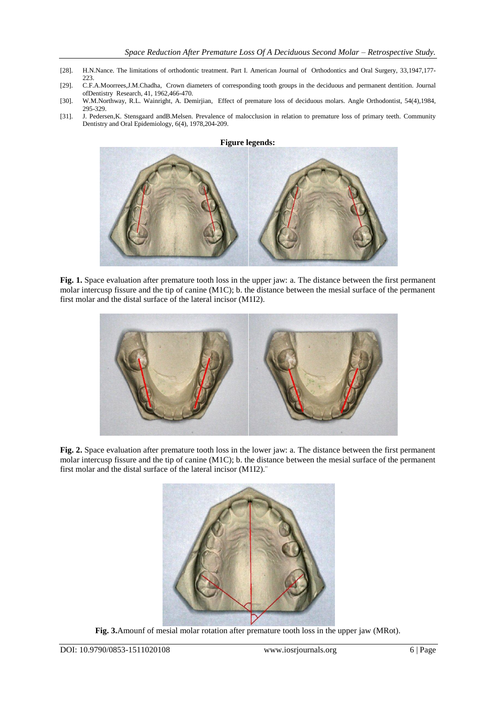- [28]. H.N.Nance. The limitations of orthodontic treatment. Part I. American Journal of Orthodontics and Oral Surgery, 33,1947,177-223.
- [29]. C.F.A.Moorrees,J.M.Chadha, Crown diameters of corresponding tooth groups in the deciduous and permanent dentition. Journal ofDentistry Research, 41, 1962,466-470.
- [30]. W.M.Northway, R.L. Wainright, A. Demirjian, Effect of premature loss of deciduous molars. Angle Orthodontist, 54(4),1984, 295-329.
- [31]. J. Pedersen,K. Stensgaard andB.Melsen. Prevalence of malocclusion in relation to premature loss of primary teeth. Community Dentistry and Oral Epidemiology, 6(4), 1978,204-209.





**Fig. 1.** Space evaluation after premature tooth loss in the upper jaw: a. The distance between the first permanent molar intercusp fissure and the tip of canine (M1C); b. the distance between the mesial surface of the permanent first molar and the distal surface of the lateral incisor (M1I2).



**Fig. 2.** Space evaluation after premature tooth loss in the lower jaw: a. The distance between the first permanent molar intercusp fissure and the tip of canine (M1C); b. the distance between the mesial surface of the permanent first molar and the distal surface of the lateral incisor (M1I2).¨



**Fig. 3.**Amounf of mesial molar rotation after premature tooth loss in the upper jaw (MRot).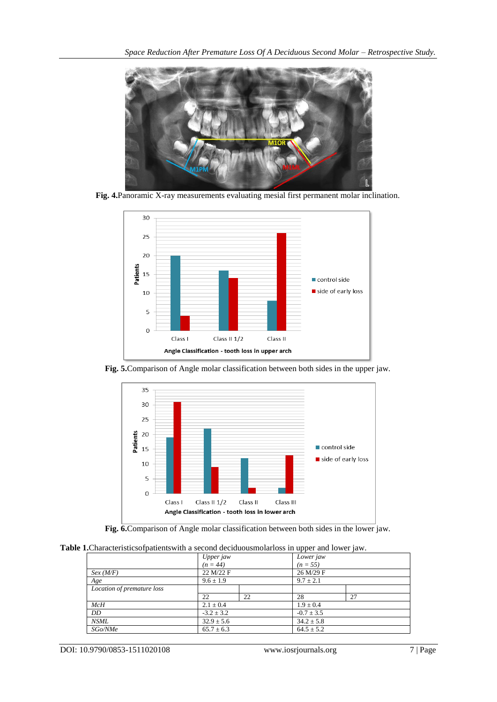

**Fig. 4.**Panoramic X-ray measurements evaluating mesial first permanent molar inclination.



**Fig. 5.**Comparison of Angle molar classification between both sides in the upper jaw.





**Table 1.**Characteristicsofpatientswith a second deciduousmolarloss in upper and lower jaw.

|                            | Upper jaw      |    | . .<br>Lower jaw |    |  |  |
|----------------------------|----------------|----|------------------|----|--|--|
|                            | $(n = 44)$     |    | $(n = 55)$       |    |  |  |
| Sex(M/F)                   | 22 M/22 F      |    | 26 M/29 F        |    |  |  |
| Age                        | $9.6 \pm 1.9$  |    | $9.7 \pm 2.1$    |    |  |  |
| Location of premature loss |                |    |                  |    |  |  |
|                            | 22             | 22 | 28               | 27 |  |  |
| McH                        | $2.1 \pm 0.4$  |    | $1.9 \pm 0.4$    |    |  |  |
| DD                         | $-3.2 \pm 3.2$ |    | $-0.7 \pm 3.5$   |    |  |  |
| <b>NSML</b>                | $32.9 \pm 5.6$ |    | $34.2 \pm 5.8$   |    |  |  |
| SGo/NMe                    | $65.7 \pm 6.3$ |    | $64.5 \pm 5.2$   |    |  |  |